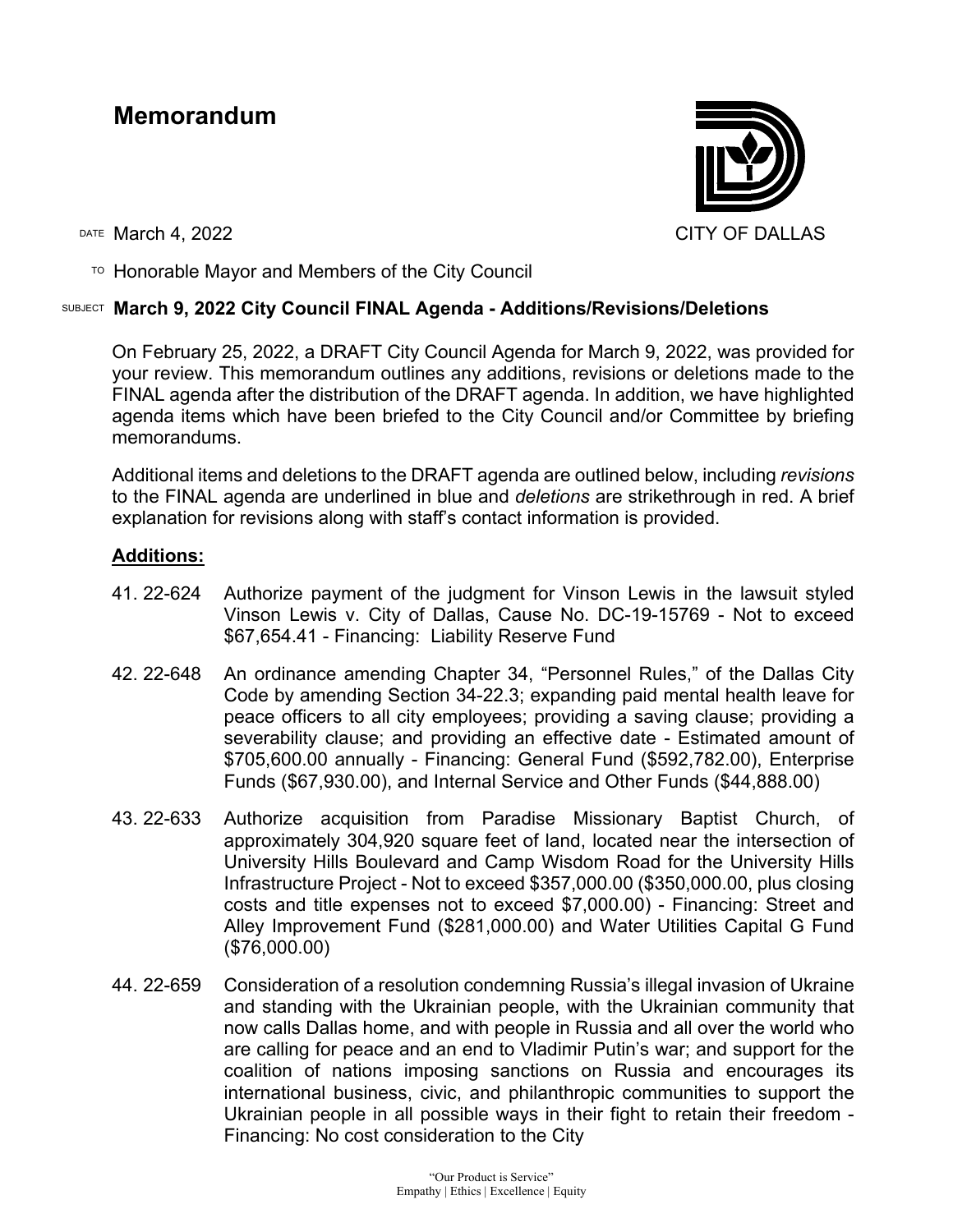# **Memorandum**



 $T$ <sup>O</sup> Honorable Mayor and Members of the City Council

# SUBJECT **March 9, 2022 City Council FINAL Agenda - Additions/Revisions/Deletions**

On February 25, 2022, a DRAFT City Council Agenda for March 9, 2022, was provided for your review. This memorandum outlines any additions, revisions or deletions made to the FINAL agenda after the distribution of the DRAFT agenda. In addition, we have highlighted agenda items which have been briefed to the City Council and/or Committee by briefing memorandums.

Additional items and deletions to the DRAFT agenda are outlined below, including *revisions* to the FINAL agenda are underlined in blue and *deletions* are strikethrough in red. A brief explanation for revisions along with staff's contact information is provided.

# **Additions:**

- 41. 22-624 Authorize payment of the judgment for Vinson Lewis in the lawsuit styled Vinson Lewis v. City of Dallas, Cause No. DC-19-15769 - Not to exceed \$67,654.41 - Financing: Liability Reserve Fund
- 42. 22-648 An ordinance amending Chapter 34, "Personnel Rules," of the Dallas City Code by amending Section 34-22.3; expanding paid mental health leave for peace officers to all city employees; providing a saving clause; providing a severability clause; and providing an effective date - Estimated amount of \$705,600.00 annually - Financing: General Fund (\$592,782.00), Enterprise Funds (\$67,930.00), and Internal Service and Other Funds (\$44,888.00)
- 43. 22-633 Authorize acquisition from Paradise Missionary Baptist Church, of approximately 304,920 square feet of land, located near the intersection of University Hills Boulevard and Camp Wisdom Road for the University Hills Infrastructure Project - Not to exceed \$357,000.00 (\$350,000.00, plus closing costs and title expenses not to exceed \$7,000.00) - Financing: Street and Alley Improvement Fund (\$281,000.00) and Water Utilities Capital G Fund (\$76,000.00)
- 44. 22-659 Consideration of a resolution condemning Russia's illegal invasion of Ukraine and standing with the Ukrainian people, with the Ukrainian community that now calls Dallas home, and with people in Russia and all over the world who are calling for peace and an end to Vladimir Putin's war; and support for the coalition of nations imposing sanctions on Russia and encourages its international business, civic, and philanthropic communities to support the Ukrainian people in all possible ways in their fight to retain their freedom - Financing: No cost consideration to the City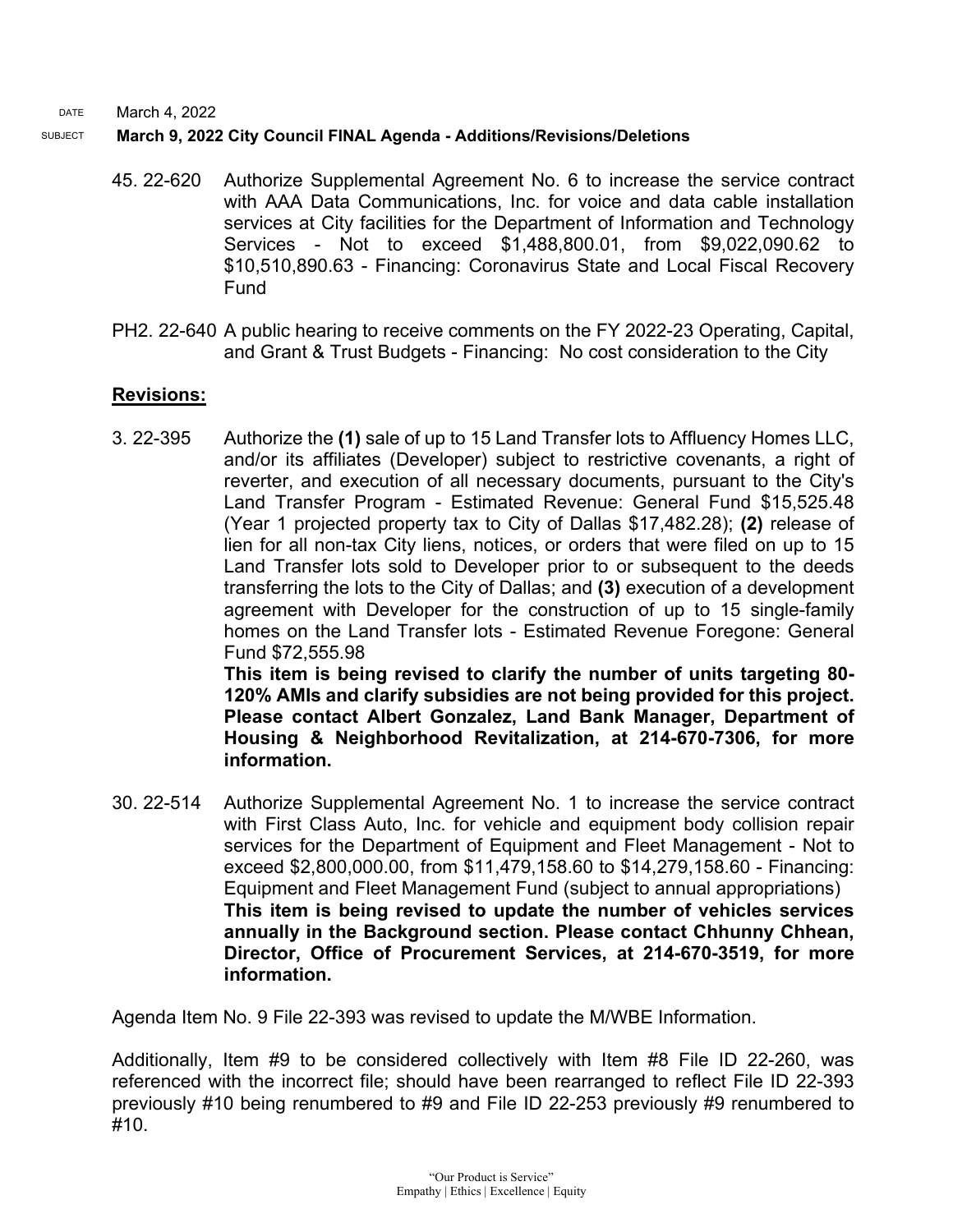#### SUBJECT **March 9, 2022 City Council FINAL Agenda - Additions/Revisions/Deletions**

- 45. 22-620 Authorize Supplemental Agreement No. 6 to increase the service contract with AAA Data Communications, Inc. for voice and data cable installation services at City facilities for the Department of Information and Technology Services - Not to exceed \$1,488,800.01, from \$9,022,090.62 to \$10,510,890.63 - Financing: Coronavirus State and Local Fiscal Recovery Fund
- PH2. 22-640 A public hearing to receive comments on the FY 2022-23 Operating, Capital, and Grant & Trust Budgets - Financing: No cost consideration to the City

### **Revisions:**

3. 22-395 Authorize the **(1)** sale of up to 15 Land Transfer lots to Affluency Homes LLC, and/or its affiliates (Developer) subject to restrictive covenants, a right of reverter, and execution of all necessary documents, pursuant to the City's Land Transfer Program - Estimated Revenue: General Fund \$15,525.48 (Year 1 projected property tax to City of Dallas \$17,482.28); **(2)** release of lien for all non-tax City liens, notices, or orders that were filed on up to 15 Land Transfer lots sold to Developer prior to or subsequent to the deeds transferring the lots to the City of Dallas; and **(3)** execution of a development agreement with Developer for the construction of up to 15 single-family homes on the Land Transfer lots - Estimated Revenue Foregone: General Fund \$72,555.98

**This item is being revised to clarify the number of units targeting 80- 120% AMIs and clarify subsidies are not being provided for this project. Please contact Albert Gonzalez, Land Bank Manager, Department of Housing & Neighborhood Revitalization, at 214-670-7306, for more information.**

30. 22-514 Authorize Supplemental Agreement No. 1 to increase the service contract with First Class Auto, Inc. for vehicle and equipment body collision repair services for the Department of Equipment and Fleet Management - Not to exceed \$2,800,000.00, from \$11,479,158.60 to \$14,279,158.60 - Financing: Equipment and Fleet Management Fund (subject to annual appropriations) **This item is being revised to update the number of vehicles services annually in the Background section. Please contact Chhunny Chhean, Director, Office of Procurement Services, at 214-670-3519, for more information.**

Agenda Item No. 9 File 22-393 was revised to update the M/WBE Information.

Additionally, Item #9 to be considered collectively with Item #8 File ID 22-260, was referenced with the incorrect file; should have been rearranged to reflect File ID 22-393 previously #10 being renumbered to #9 and File ID 22-253 previously #9 renumbered to #10.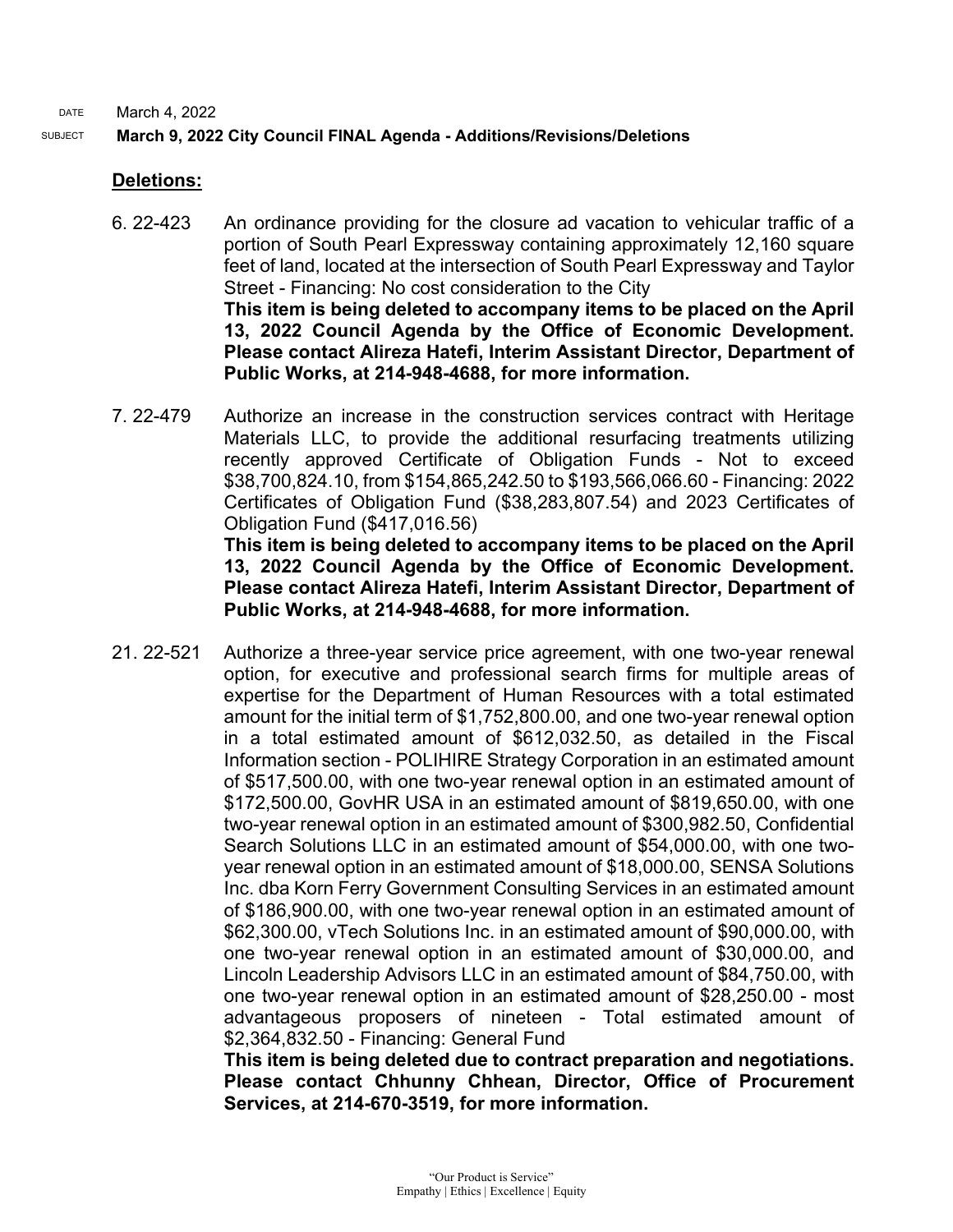### SUBJECT **March 9, 2022 City Council FINAL Agenda - Additions/Revisions/Deletions**

### **Deletions:**

- 6. 22-423 An ordinance providing for the closure ad vacation to vehicular traffic of a portion of South Pearl Expressway containing approximately 12,160 square feet of land, located at the intersection of South Pearl Expressway and Taylor Street - Financing: No cost consideration to the City **This item is being deleted to accompany items to be placed on the April 13, 2022 Council Agenda by the Office of Economic Development. Please contact Alireza Hatefi, Interim Assistant Director, Department of Public Works, at 214-948-4688, for more information.**
- 7. 22-479 Authorize an increase in the construction services contract with Heritage Materials LLC, to provide the additional resurfacing treatments utilizing recently approved Certificate of Obligation Funds - Not to exceed \$38,700,824.10, from \$154,865,242.50 to \$193,566,066.60 - Financing: 2022 Certificates of Obligation Fund (\$38,283,807.54) and 2023 Certificates of Obligation Fund (\$417,016.56) **This item is being deleted to accompany items to be placed on the April**

**13, 2022 Council Agenda by the Office of Economic Development. Please contact Alireza Hatefi, Interim Assistant Director, Department of Public Works, at 214-948-4688, for more information.**

21. 22-521 Authorize a three-year service price agreement, with one two-year renewal option, for executive and professional search firms for multiple areas of expertise for the Department of Human Resources with a total estimated amount for the initial term of \$1,752,800.00, and one two-year renewal option in a total estimated amount of \$612,032.50, as detailed in the Fiscal Information section - POLIHIRE Strategy Corporation in an estimated amount of \$517,500.00, with one two-year renewal option in an estimated amount of \$172,500.00, GovHR USA in an estimated amount of \$819,650.00, with one two-year renewal option in an estimated amount of \$300,982.50, Confidential Search Solutions LLC in an estimated amount of \$54,000.00, with one twoyear renewal option in an estimated amount of \$18,000.00, SENSA Solutions Inc. dba Korn Ferry Government Consulting Services in an estimated amount of \$186,900.00, with one two-year renewal option in an estimated amount of \$62,300.00, vTech Solutions Inc. in an estimated amount of \$90,000.00, with one two-year renewal option in an estimated amount of \$30,000.00, and Lincoln Leadership Advisors LLC in an estimated amount of \$84,750.00, with one two-year renewal option in an estimated amount of \$28,250.00 - most advantageous proposers of nineteen - Total estimated amount of \$2,364,832.50 - Financing: General Fund

> **This item is being deleted due to contract preparation and negotiations. Please contact Chhunny Chhean, Director, Office of Procurement Services, at 214-670-3519, for more information.**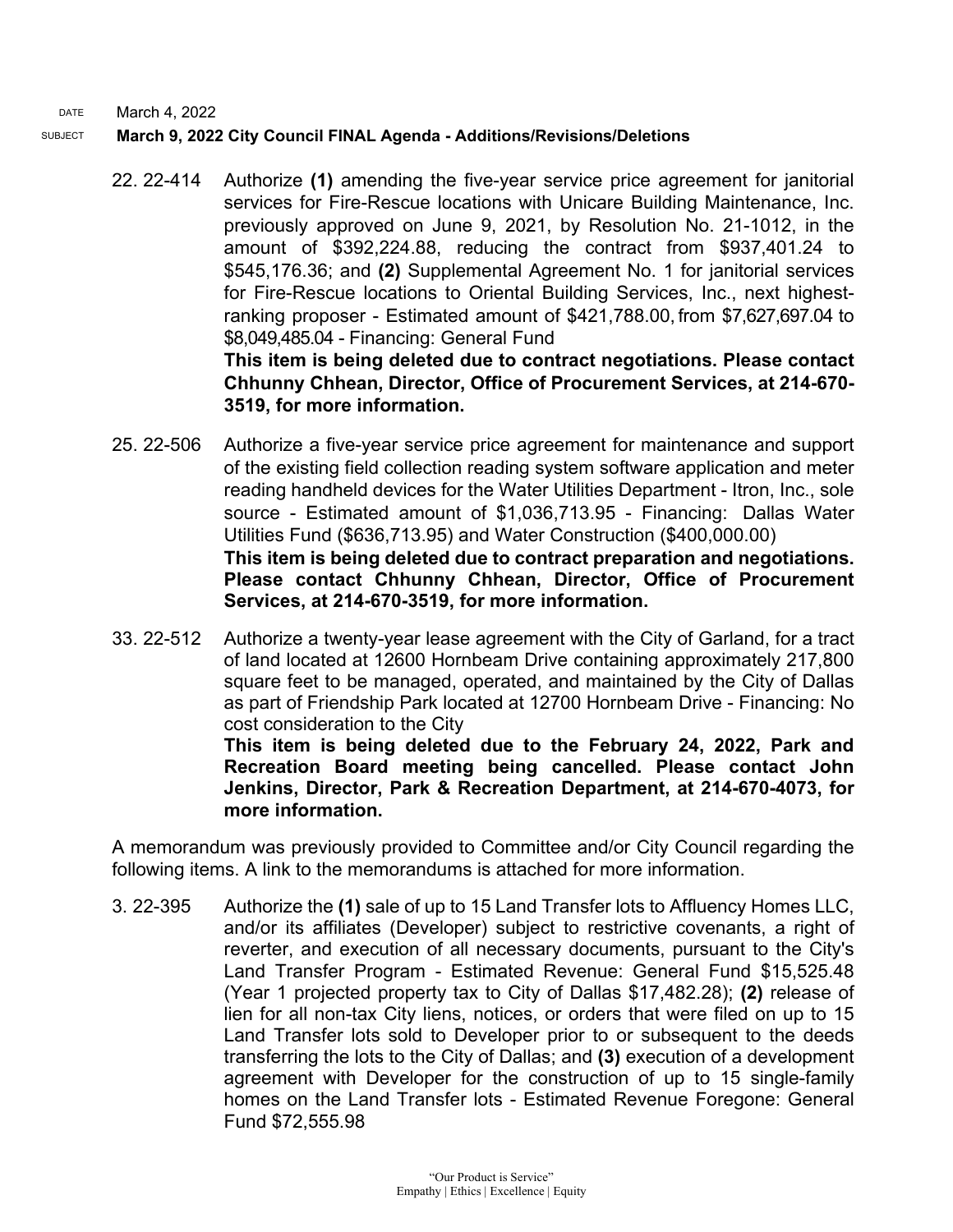## SUBJECT **March 9, 2022 City Council FINAL Agenda - Additions/Revisions/Deletions**

22. 22-414 Authorize **(1)** amending the five-year service price agreement for janitorial services for Fire-Rescue locations with Unicare Building Maintenance, Inc. previously approved on June 9, 2021, by Resolution No. 21-1012, in the amount of \$392,224.88, reducing the contract from \$937,401.24 to \$545,176.36; and **(2)** Supplemental Agreement No. 1 for janitorial services for Fire-Rescue locations to Oriental Building Services, Inc., next highestranking proposer - Estimated amount of \$421,788.00, from \$7,627,697.04 to \$8,049,485.04 - Financing: General Fund **This item is being deleted due to contract negotiations. Please contact Chhunny Chhean, Director, Office of Procurement Services, at 214-670-**

# **3519, for more information.**

**more information.**

- 25. 22-506 Authorize a five-year service price agreement for maintenance and support of the existing field collection reading system software application and meter reading handheld devices for the Water Utilities Department - Itron, Inc., sole source - Estimated amount of \$1,036,713.95 - Financing: Dallas Water Utilities Fund (\$636,713.95) and Water Construction (\$400,000.00) **This item is being deleted due to contract preparation and negotiations. Please contact Chhunny Chhean, Director, Office of Procurement Services, at 214-670-3519, for more information.**
- 33. 22-512 Authorize a twenty-year lease agreement with the City of Garland, for a tract of land located at 12600 Hornbeam Drive containing approximately 217,800 square feet to be managed, operated, and maintained by the City of Dallas as part of Friendship Park located at 12700 Hornbeam Drive - Financing: No cost consideration to the City **This item is being deleted due to the February 24, 2022, Park and Recreation Board meeting being cancelled. Please contact John Jenkins, Director, Park & Recreation Department, at 214-670-4073, for**

A memorandum was previously provided to Committee and/or City Council regarding the following items. A link to the memorandums is attached for more information.

3. 22-395 Authorize the **(1)** sale of up to 15 Land Transfer lots to Affluency Homes LLC, and/or its affiliates (Developer) subject to restrictive covenants, a right of reverter, and execution of all necessary documents, pursuant to the City's Land Transfer Program - Estimated Revenue: General Fund \$15,525.48 (Year 1 projected property tax to City of Dallas \$17,482.28); **(2)** release of lien for all non-tax City liens, notices, or orders that were filed on up to 15 Land Transfer lots sold to Developer prior to or subsequent to the deeds transferring the lots to the City of Dallas; and **(3)** execution of a development agreement with Developer for the construction of up to 15 single-family homes on the Land Transfer lots - Estimated Revenue Foregone: General Fund \$72,555.98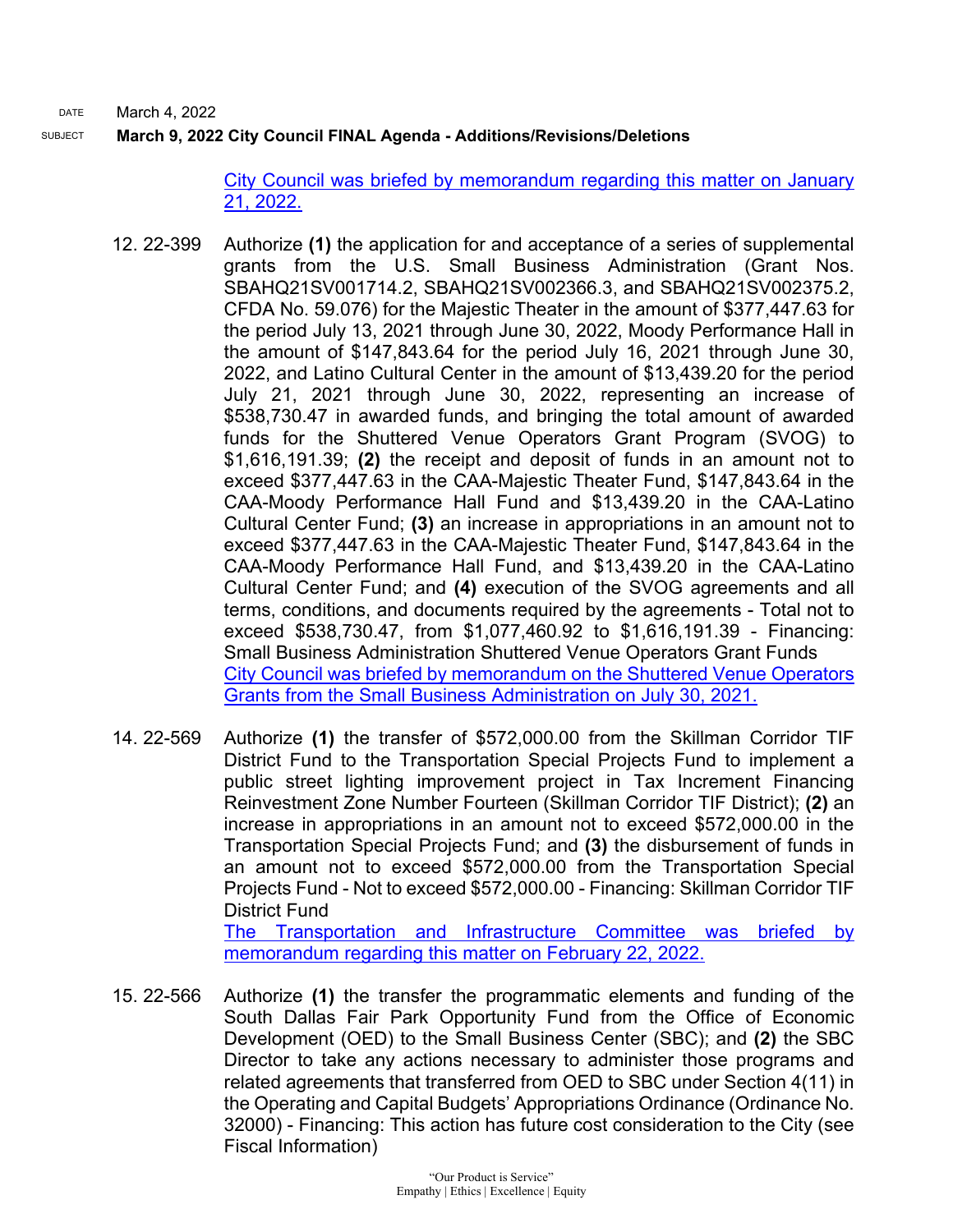#### SUBJECT **March 9, 2022 City Council FINAL Agenda - Additions/Revisions/Deletions**

[City Council was briefed by memorandum regarding this matter on January](https://dallascityhall.com/government/citymanager/Documents/FY%2021-22%20Memos/Land-Transfer-Program-Affluency-LLC_Memo_012122.pdf)  [21, 2022.](https://dallascityhall.com/government/citymanager/Documents/FY%2021-22%20Memos/Land-Transfer-Program-Affluency-LLC_Memo_012122.pdf)

- 12. 22-399 Authorize **(1)** the application for and acceptance of a series of supplemental grants from the U.S. Small Business Administration (Grant Nos. SBAHQ21SV001714.2, SBAHQ21SV002366.3, and SBAHQ21SV002375.2, CFDA No. 59.076) for the Majestic Theater in the amount of \$377,447.63 for the period July 13, 2021 through June 30, 2022, Moody Performance Hall in the amount of \$147,843.64 for the period July 16, 2021 through June 30, 2022, and Latino Cultural Center in the amount of \$13,439.20 for the period July 21, 2021 through June 30, 2022, representing an increase of \$538,730.47 in awarded funds, and bringing the total amount of awarded funds for the Shuttered Venue Operators Grant Program (SVOG) to \$1,616,191.39; **(2)** the receipt and deposit of funds in an amount not to exceed \$377,447.63 in the CAA-Majestic Theater Fund, \$147,843.64 in the CAA-Moody Performance Hall Fund and \$13,439.20 in the CAA-Latino Cultural Center Fund; **(3)** an increase in appropriations in an amount not to exceed \$377,447.63 in the CAA-Majestic Theater Fund, \$147,843.64 in the CAA-Moody Performance Hall Fund, and \$13,439.20 in the CAA-Latino Cultural Center Fund; and **(4)** execution of the SVOG agreements and all terms, conditions, and documents required by the agreements - Total not to exceed \$538,730.47, from \$1,077,460.92 to \$1,616,191.39 - Financing: Small Business Administration Shuttered Venue Operators Grant Funds [City Council was briefed by memorandum on the Shuttered Venue Operators](https://dallascityhall.com/government/citymanager/Documents/FY%2020-21%20Memos/4_Shuttered_Venue_Operators_Grant_Awards-Dallas-Grantees_Memo_073021.pdf)  [Grants from the Small Business Administration on July 30, 2021.](https://dallascityhall.com/government/citymanager/Documents/FY%2020-21%20Memos/4_Shuttered_Venue_Operators_Grant_Awards-Dallas-Grantees_Memo_073021.pdf)
- 14. 22-569 Authorize **(1)** the transfer of \$572,000.00 from the Skillman Corridor TIF District Fund to the Transportation Special Projects Fund to implement a public street lighting improvement project in Tax Increment Financing Reinvestment Zone Number Fourteen (Skillman Corridor TIF District); **(2)** an increase in appropriations in an amount not to exceed \$572,000.00 in the Transportation Special Projects Fund; and **(3)** the disbursement of funds in an amount not to exceed \$572,000.00 from the Transportation Special Projects Fund - Not to exceed \$572,000.00 - Financing: Skillman Corridor TIF District Fund [The Transportation and Infrastructure Committee was briefed by](https://cityofdallas.legistar.com/View.ashx?M=F&ID=10538869&GUID=1A4FDB43-95E6-4A4C-86A0-4057069ADF2E)  [memorandum regarding this matter on February 22, 2022.](https://cityofdallas.legistar.com/View.ashx?M=F&ID=10538869&GUID=1A4FDB43-95E6-4A4C-86A0-4057069ADF2E)
- 15. 22-566 Authorize **(1)** the transfer the programmatic elements and funding of the South Dallas Fair Park Opportunity Fund from the Office of Economic Development (OED) to the Small Business Center (SBC); and **(2)** the SBC Director to take any actions necessary to administer those programs and related agreements that transferred from OED to SBC under Section 4(11) in the Operating and Capital Budgets' Appropriations Ordinance (Ordinance No. 32000) - Financing: This action has future cost consideration to the City (see Fiscal Information)